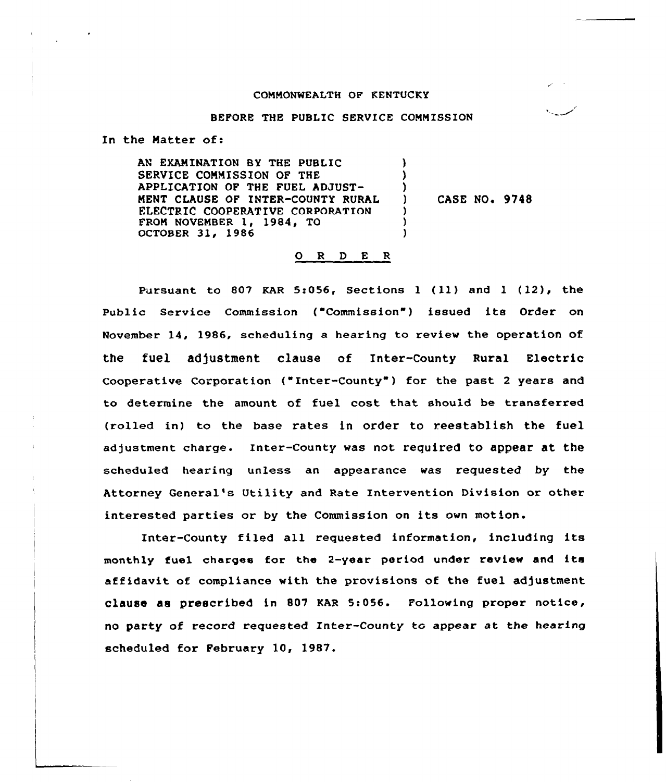#### COMMONWEALTH OP KENTUCKY

#### BEPORE THE PUBLIC SERVICE COMMISSION

In the Natter of:

AN EXAMINATION BY THE PUBLIC SERVICE COMMISSION OF THE APPLICATION OF THE FUEL ADJUST-MENT CIAUSE OF INTER-COUNTY RURAL ELECTRIC COOPERATIVE CORPORATION FROM NOVEMBER 1, 1984, TO OCTOBER 31, 1986 ) ) ) ) ) )

) CASE NO. 9748

#### 0 <sup>R</sup> <sup>D</sup> E <sup>R</sup>

Pursuant to 807 KAR 5:056, Sections 1 (11) and 1 (12), the Public Service Commission ("Commission"} issued its Order on November 14, 1986, scheduling a heax ing to review the operation of the fuel adjustment clause of Inter-County Rural Electric Cooperative Corporation ("Inter-County") for the past 2 years and to determine the amount of fuel cost that should be transfexred (rolled in) to the base rates in order to reestablish the fuel adjustment charge. Intex-county was not required to appear at the scheduled hearing unless an appearance was requested by the Attorney General's Utility and Rate Intervention Division or other interested parties or by the Commission on its own motion.

Inter-County filed all requested information, including its monthly fuel charges for the 2-year period under review and its affidavit of compliance with the provisions of the fuel adjustment clause as prescribed in 807 KAR 5:056. Following proper notice, no party of record requested Inter-County to appear at the hearing scheduled for February 10, 1987.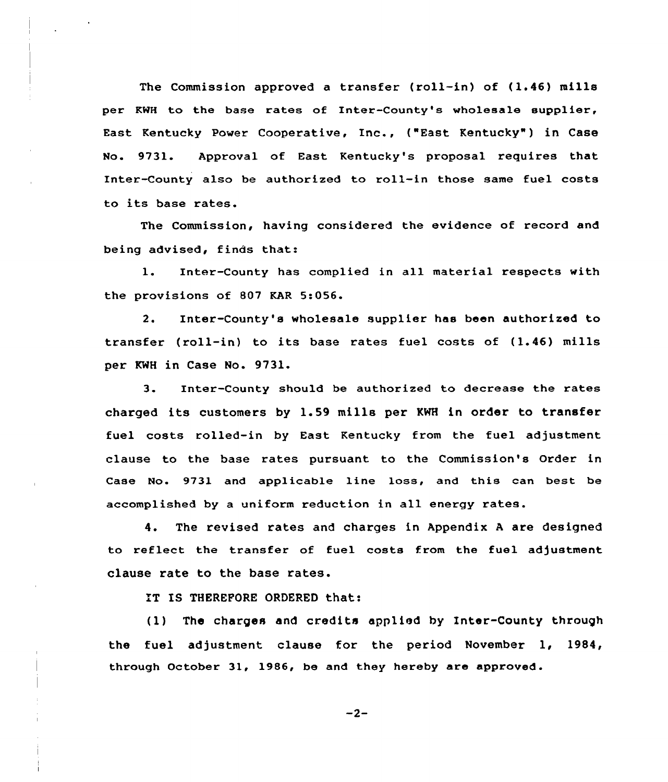The Commission approved a transfer (roll-in) of (1.46) mills per KWH to the base rates of Inter-County's wholesale supplier, East Kentucky Power Cooperative, Inc., ("East Kentucky" ) in Case No. 9731. Approval of East Kentucky's proposal requires that Inter-County also be authorized to roll-in those same fuel costs to its base rates.

The Commission, having considered the evidence of record and being advised, finds that:

l. Inter-County has complied in all material respects with the provisions of 807 KAR 5:056.

2. Inter-County's wholesale supplier has been authorized to transfer (roll-in) to its base rates fuel costs of (1.46) mills per KMH in Case No. 9731.

3. Inter-County should be authorized to decrease the rates charged its customers by 1.59 mills per KWH in order to transfer fuel costs rolled-in by East Kentucky from the fuel adjustment clause to the base rates pursuant to the Commission's Order in Case No. 9731 and applicable line loss, and this can best be accomplished by a uniform reduction in all energy rates.

4. The revised rates and charges in Appendix <sup>A</sup> are designed to reflect the transfer of fuel costs from the fuel adjustment clause rate to the base rates.

IT IS THEREFORE ORDERED that:

( 1) The charges and credits applied by Inter-County through the fuel adjustment clause for the period November 1, 1984, through October 31, 1986, be and they hereby are approved.

 $-2-$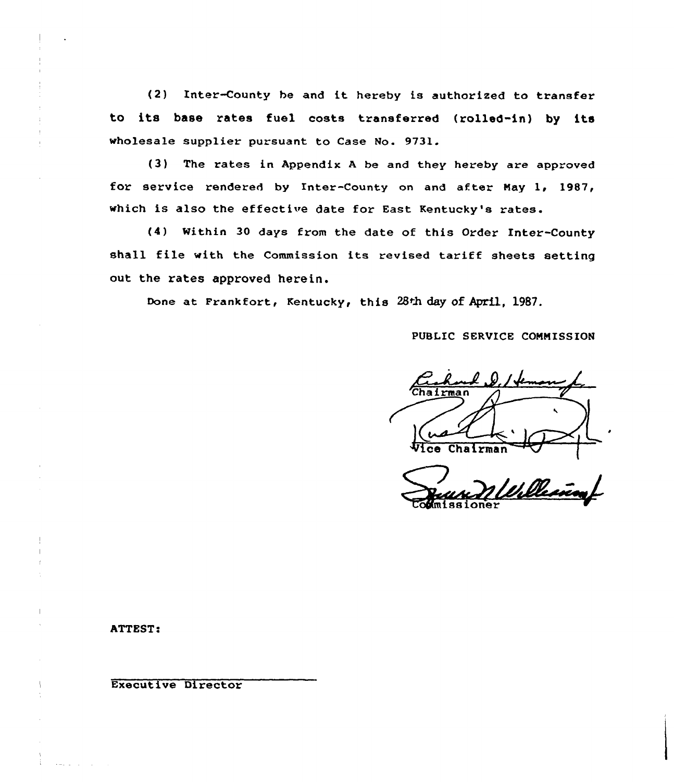(2) Inter-County be and it hereby is authorized to transfer to its base rates fuel costs transferred (rolled-in) by its wholesale supplier pursuant to Case No. 9731.

(3) The rates in Appendix <sup>A</sup> be and they hereby are approved for service rendered by Inter-County on and after May 1, 1987, which is also the effective date for East Kentucky's rates.

(4) Mithin 30 days from the date of this Order Inter-County shall file with the Commission its revised tariff sheets setting out the rates approved herein.

Done at Frankfort, Kentucky, this 28th day of April, 1987.

PUBLIC SERVICE CONNISS ION

 $Chainman$ Chairman

#### ATTEST!

Executive Director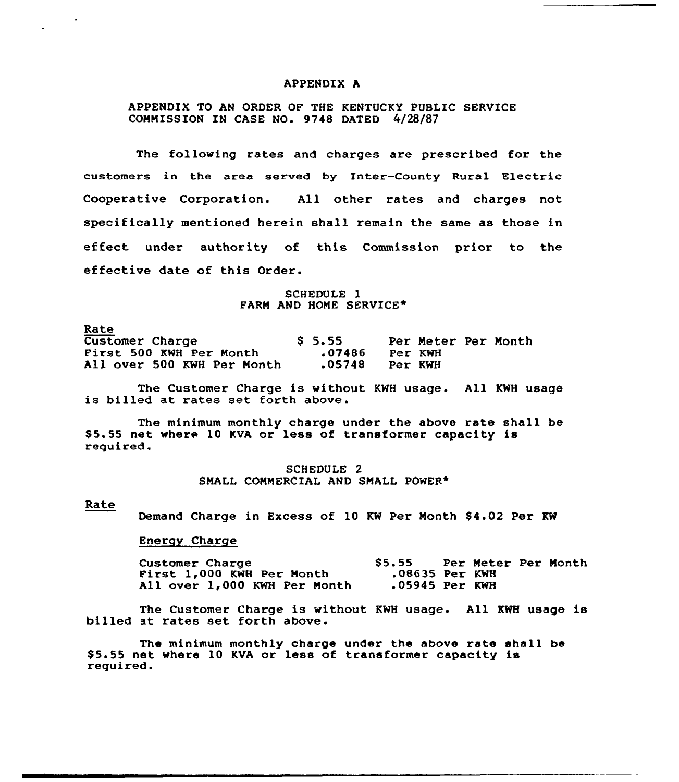#### APPENDIX h

# APPENDIX TO AN ORDER OF THE KENTUCKY PUBLIC SERVICE COMMISSION IN CASE NO. 9748 DATED 4/28/87

The following rates and charges are prescribed for the customers in the area served by Inter-County Rural Electric Cooperative Corporation. All other rates and charges not specifically mentioned herein shall remain the same as those in effect under authority of this Commission prior to the effective date of this Order.

> SCHEDULE 1 FARM AND HOME SERVICE\*

Rate

| --- - -                    |                   |         |                     |
|----------------------------|-------------------|---------|---------------------|
| <b>Customer Charge</b>     | S <sub>5.55</sub> |         | Per Meter Per Month |
| First 500 KWH Per Month    | .07486            | Per KWH |                     |
| All over 500 KWH Per Month | .05748            | Per KWH |                     |

The Customer Charge is without KNH usage. All KWH usage is billed at rates set forth above.

The minimum monthly charge under the above rate shall be \$5.55 net where 10 KVA or less of transformer capacity is required.

> SCHEDULE 2 SMALL COMMERCIAL AND SMALL POWER\*

#### Rate

Demand Charge in Excess of 10 KW Per Month \$4.02 Per KW

#### Energy Charge

Customer Charge **\$5.55** Per Meter Per Month<br>
First 1,000 KWH Per Month .08635 Per KWH<br>
All over 1,000 KWH Per Month .05945 Per KWH All over 1,000 KWH Per Month

The Customer Charge is without KNH usage. All KWH usage is billed at rates set forth above.

The minimum monthly charge under the above rate shall be \$5.55 net where 10 KVA or less of transformer capacity is required.